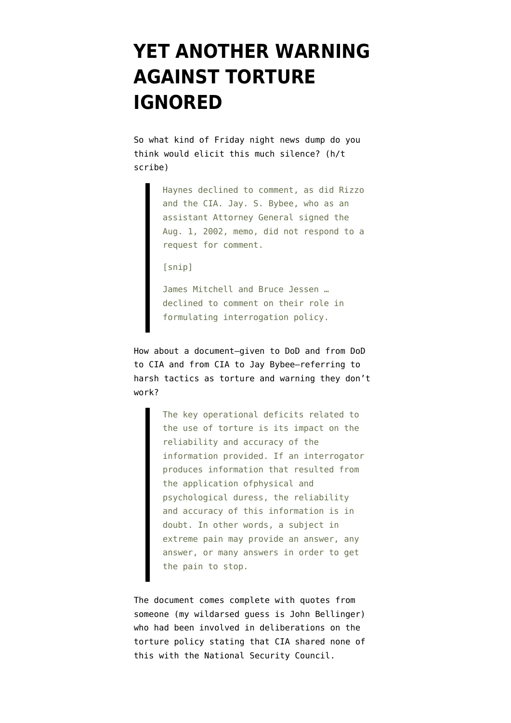## **[YET ANOTHER WARNING](https://www.emptywheel.net/2009/04/24/yet-another-warning-ignored/) [AGAINST TORTURE](https://www.emptywheel.net/2009/04/24/yet-another-warning-ignored/) [IGNORED](https://www.emptywheel.net/2009/04/24/yet-another-warning-ignored/)**

So what kind of Friday night news dump do you think would elicit [this much silence](http://www.washingtonpost.com/wp-dyn/content/article/2009/04/24/AR2009042403171.html?hpid=topnews&sid=ST2009042403231)? (h/t scribe)

> Haynes declined to comment, as did Rizzo and the CIA. Jay. S. Bybee, who as an assistant Attorney General signed the Aug. 1, 2002, memo, did not respond to a request for comment.

[snip]

James Mitchell and Bruce Jessen … declined to comment on their role in formulating interrogation policy.

How about a [document](http://www.washingtonpost.com/wp-srv/nation/pdf/JPRA-Memo_042409.pdf)–given to DoD and from DoD to CIA and from CIA to Jay Bybee–referring to harsh tactics as torture and warning they don't work?

> The key operational deficits related to the use of torture is its impact on the reliability and accuracy of the information provided. If an interrogator produces information that resulted from the application ofphysical and psychological duress, the reliability and accuracy of this information is in doubt. In other words, a subject in extreme pain may provide an answer, any answer, or many answers in order to get the pain to stop.

The document comes complete with quotes from someone (my wildarsed guess is John Bellinger) who had been involved in deliberations on the torture policy stating that CIA shared none of this with the National Security Council.